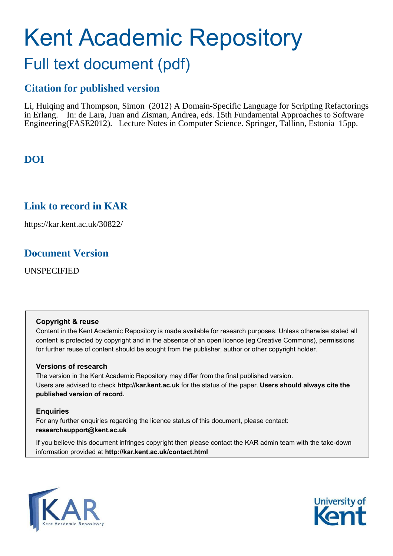# Kent Academic Repository Full text document (pdf)

# **Citation for published version**

Li, Huiqing and Thompson, Simon (2012) A Domain-Specific Language for Scripting Refactorings in Erlang. In: de Lara, Juan and Zisman, Andrea, eds. 15th Fundamental Approaches to Software Engineering(FASE2012). Lecture Notes in Computer Science. Springer, Tallinn, Estonia 15pp.

# **DOI**

# **Link to record in KAR**

https://kar.kent.ac.uk/30822/

# **Document Version**

UNSPECIFIED

# **Copyright & reuse**

Content in the Kent Academic Repository is made available for research purposes. Unless otherwise stated all content is protected by copyright and in the absence of an open licence (eg Creative Commons), permissions for further reuse of content should be sought from the publisher, author or other copyright holder.

# **Versions of research**

The version in the Kent Academic Repository may differ from the final published version. Users are advised to check **http://kar.kent.ac.uk** for the status of the paper. **Users should always cite the published version of record.**

# **Enquiries**

For any further enquiries regarding the licence status of this document, please contact: **researchsupport@kent.ac.uk**

If you believe this document infringes copyright then please contact the KAR admin team with the take-down information provided at **http://kar.kent.ac.uk/contact.html**



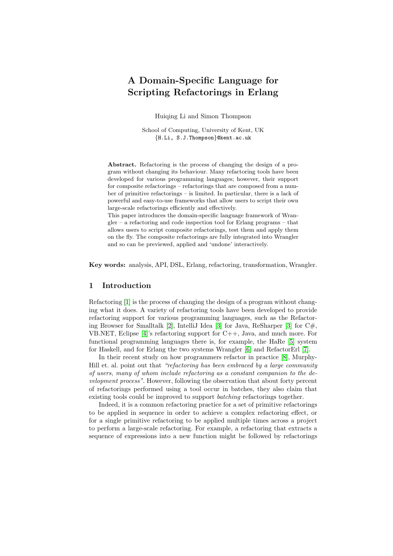# A Domain-Specific Language for Scripting Refactorings in Erlang

Huiqing Li and Simon Thompson

School of Computing, University of Kent, UK {H.Li, S.J.Thompson}@kent.ac.uk

Abstract. Refactoring is the process of changing the design of a program without changing its behaviour. Many refactoring tools have been developed for various programming languages; however, their support for composite refactorings – refactorings that are composed from a number of primitive refactorings – is limited. In particular, there is a lack of powerful and easy-to-use frameworks that allow users to script their own large-scale refactorings efficiently and effectively.

This paper introduces the domain-specific language framework of Wrangler – a refactoring and code inspection tool for Erlang programs – that allows users to script composite refactorings, test them and apply them on the fly. The composite refactorings are fully integrated into Wrangler and so can be previewed, applied and 'undone' interactively.

Key words: analysis, API, DSL, Erlang, refactoring, transformation, Wrangler.

# 1 Introduction

Refactoring [\[1\]](#page-14-0) is the process of changing the design of a program without changing what it does. A variety of refactoring tools have been developed to provide refactoring support for various programming languages, such as the Refactor-ing Browser for Smalltalk [\[2\]](#page-14-1), IntelliJ Idea [\[3\]](#page-14-2) for Java, ReSharper [3] for  $C\#$ , VB.NET, Eclipse [\[4\]](#page-14-3)'s refactoring support for C++, Java, and much more. For functional programming languages there is, for example, the HaRe [\[5\]](#page-14-4) system for Haskell, and for Erlang the two systems Wrangler [\[6\]](#page-14-5) and RefactorErl [\[7\]](#page-14-6).

In their recent study on how programmers refactor in practice [\[8\]](#page-14-7), Murphy-Hill et. al. point out that "refactoring has been embraced by a large community of users, many of whom include refactoring as a constant companion to the development process". However, following the observation that about forty percent of refactorings performed using a tool occur in batches, they also claim that existing tools could be improved to support batching refactorings together.

<span id="page-1-0"></span>Indeed, it is a common refactoring practice for a set of primitive refactorings to be applied in sequence in order to achieve a complex refactoring effect, or for a single primitive refactoring to be applied multiple times across a project to perform a large-scale refactoring. For example, a refactoring that extracts a sequence of expressions into a new function might be followed by refactorings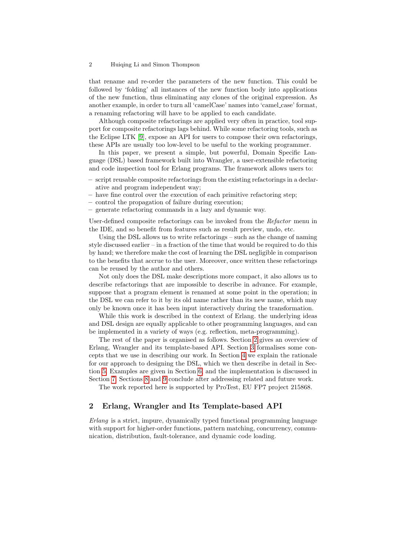#### 2 Huiqing Li and Simon Thompson

that rename and re-order the parameters of the new function. This could be followed by 'folding' all instances of the new function body into applications of the new function, thus eliminating any clones of the original expression. As another example, in order to turn all 'camelCase' names into 'camel case' format, a renaming refactoring will have to be applied to each candidate.

Although composite refactorings are applied very often in practice, tool support for composite refactorings lags behind. While some refactoring tools, such as the Eclipse LTK [\[9\]](#page-14-8), expose an API for users to compose their own refactorings, these APIs are usually too low-level to be useful to the working programmer.

<span id="page-2-1"></span><span id="page-2-0"></span>In this paper, we present a simple, but powerful, Domain Specific Language (DSL) based framework built into Wrangler, a user-extensible refactoring and code inspection tool for Erlang programs. The framework allows users to:

- script reusable composite refactorings from the existing refactorings in a declarative and program independent way;
- have fine control over the execution of each primitive refactoring step;
- control the propagation of failure during execution;
- generate refactoring commands in a lazy and dynamic way.

User-defined composite refactorings can be invoked from the Refactor menu in the IDE, and so benefit from features such as result preview, undo, etc.

Using the DSL allows us to write refactorings  $-$  such as the change of naming style discussed earlier – in a fraction of the time that would be required to do this by hand; we therefore make the cost of learning the DSL negligible in comparison to the benefits that accrue to the user. Moreover, once written these refactorings can be reused by the author and others.

Not only does the DSL make descriptions more compact, it also allows us to describe refactorings that are impossible to describe in advance. For example, suppose that a program element is renamed at some point in the operation; in the DSL we can refer to it by its old name rather than its new name, which may only be known once it has been input interactively during the transformation.

While this work is described in the context of Erlang. the underlying ideas and DSL design are equally applicable to other programming languages, and can be implemented in a variety of ways (e.g. reflection, meta-programming).

The rest of the paper is organised as follows. Section [2](#page-1-0) gives an overview of Erlang, Wrangler and its template-based API. Section [3](#page-4-0) formalises some concepts that we use in describing our work. In Section [4](#page-5-0) we explain the rationale for our approach to designing the DSL, which we then describe in detail in Section [5.](#page-6-0) Examples are given in Section [6,](#page-10-0) and the implementation is discussed in Section [7.](#page-12-0) Sections [8](#page-13-0) and [9](#page-14-9) conclude after addressing related and future work.

The work reported here is supported by ProTest, EU FP7 project 215868.

### 2 Erlang, Wrangler and Its Template-based API

Erlang is a strict, impure, dynamically typed functional programming language with support for higher-order functions, pattern matching, concurrency, communication, distribution, fault-tolerance, and dynamic code loading.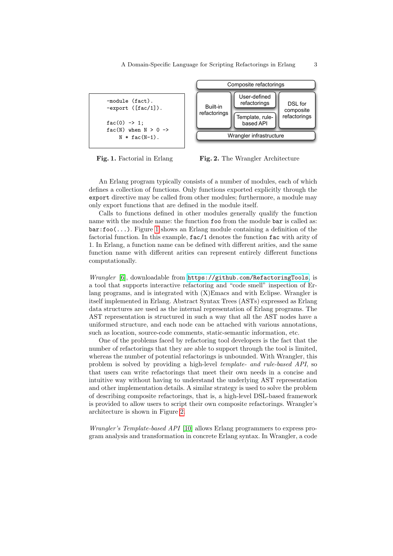

Fig. 1. Factorial in Erlang

Fig. 2. The Wrangler Architecture

An Erlang program typically consists of a number of modules, each of which defines a collection of functions. Only functions exported explicitly through the export directive may be called from other modules; furthermore, a module may only export functions that are defined in the module itself.

Calls to functions defined in other modules generally qualify the function name with the module name: the function foo from the module bar is called as:  $bar:foo(...)$ . Figure [1](#page-2-0) shows an Erlang module containing a definition of the factorial function. In this example, fac/1 denotes the function fac with arity of 1. In Erlang, a function name can be defined with different arities, and the same function name with different arities can represent entirely different functions computationally.

Wrangler [\[6\]](#page-14-5), downloadable from <https://github.com/RefactoringTools>, is a tool that supports interactive refactoring and "code smell" inspection of Erlang programs, and is integrated with  $(X)$ Emacs and with Eclipse. Wrangler is itself implemented in Erlang. Abstract Syntax Trees (ASTs) expressed as Erlang data structures are used as the internal representation of Erlang programs. The AST representation is structured in such a way that all the AST nodes have a uniformed structure, and each node can be attached with various annotations, such as location, source-code comments, static-semantic information, etc.

One of the problems faced by refactoring tool developers is the fact that the number of refactorings that they are able to support through the tool is limited, whereas the number of potential refactorings is unbounded. With Wrangler, this problem is solved by providing a high-level template- and rule-based API, so that users can write refactorings that meet their own needs in a concise and intuitive way without having to understand the underlying AST representation and other implementation details. A similar strategy is used to solve the problem of describing composite refactorings, that is, a high-level DSL-based framework is provided to allow users to script their own composite refactorings. Wrangler's architecture is shown in Figure [2.](#page-2-1)

Wrangler's Template-based API [\[10\]](#page-14-10) allows Erlang programmers to express program analysis and transformation in concrete Erlang syntax. In Wrangler, a code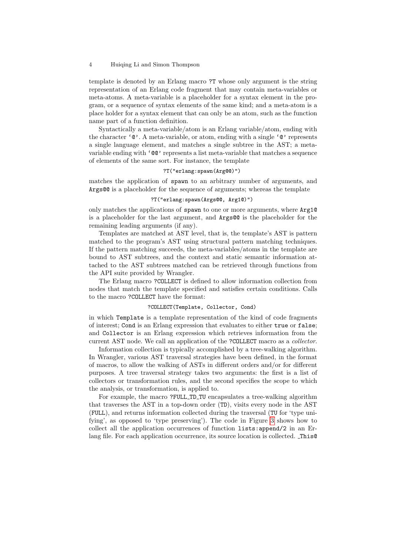#### 4 Huiqing Li and Simon Thompson

<span id="page-4-1"></span>template is denoted by an Erlang macro ?T whose only argument is the string representation of an Erlang code fragment that may contain meta-variables or meta-atoms. A meta-variable is a placeholder for a syntax element in the program, or a sequence of syntax elements of the same kind; and a meta-atom is a place holder for a syntax element that can only be an atom, such as the function name part of a function definition.

Syntactically a meta-variable/atom is an Erlang variable/atom, ending with the character ' $\mathcal{C}'$ . A meta-variable, or atom, ending with a single ' $\mathcal{C}'$  represents a single language element, and matches a single subtree in the AST; a metavariable ending with '<sup>oo</sup>' represents a list meta-variable that matches a sequence of elements of the same sort. For instance, the template

#### ?T("erlang:spawn(Arg@@)")

<span id="page-4-0"></span>matches the application of spawn to an arbitrary number of arguments, and Args@@ is a placeholder for the sequence of arguments; whereas the template

#### ?T("erlang:spawn(Args@@, Arg1@)")

only matches the applications of spawn to one or more arguments, where Arg1@ is a placeholder for the last argument, and Args@@ is the placeholder for the remaining leading arguments (if any).

Templates are matched at AST level, that is, the template's AST is pattern matched to the program's AST using structural pattern matching techniques. If the pattern matching succeeds, the meta-variables/atoms in the template are bound to AST subtrees, and the context and static semantic information attached to the AST subtrees matched can be retrieved through functions from the API suite provided by Wrangler.

The Erlang macro ?COLLECT is defined to allow information collection from nodes that match the template specified and satisfies certain conditions. Calls to the macro ?COLLECT have the format:

#### ?COLLECT(Template, Collector, Cond)

in which Template is a template representation of the kind of code fragments of interest; Cond is an Erlang expression that evaluates to either true or false; and Collector is an Erlang expression which retrieves information from the current AST node. We call an application of the ?COLLECT macro as a collector.

Information collection is typically accomplished by a tree-walking algorithm. In Wrangler, various AST traversal strategies have been defined, in the format of macros, to allow the walking of ASTs in different orders and/or for different purposes. A tree traversal strategy takes two arguments: the first is a list of collectors or transformation rules, and the second specifies the scope to which the analysis, or transformation, is applied to.

For example, the macro ?FULL\_TD\_TU encapsulates a tree-walking algorithm that traverses the AST in a top-down order (TD), visits every node in the AST (FULL), and returns information collected during the traversal (TU for 'type unifying', as opposed to 'type preserving'). The code in Figure [3](#page-4-1) shows how to collect all the application occurrences of function lists:append/2 in an Erlang file. For each application occurrence, its source location is collected. This@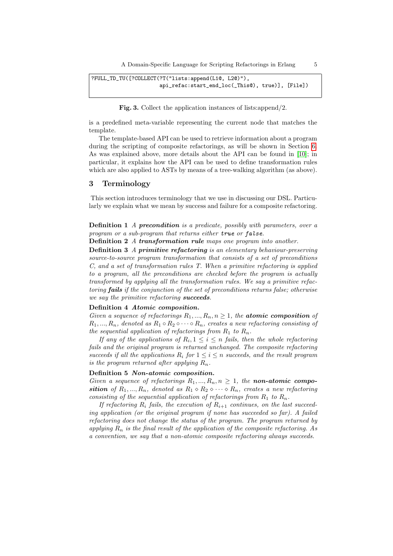?FULL\_TD\_TU([?COLLECT(?T("lists:append(L1@, L2@)"), api\_refac:start\_end\_loc(\_This@), true)], [File])

Fig. 3. Collect the application instances of lists:append/2.

is a predefined meta-variable representing the current node that matches the template.

The template-based API can be used to retrieve information about a program during the scripting of composite refactorings, as will be shown in Section [6.](#page-10-0) As was explained above, more details about the API can be found in [\[10\]](#page-14-10); in particular, it explains how the API can be used to define transformation rules which are also applied to ASTs by means of a tree-walking algorithm (as above).

### <span id="page-5-1"></span>3 Terminology

This section introduces terminology that we use in discussing our DSL. Particularly we explain what we mean by success and failure for a composite refactoring.

**Definition 1** A precondition is a predicate, possibly with parameters, over a program or a sub-program that returns either true or false.

Definition 2 A transformation rule maps one program into another.

Definition 3 A primitive refactoring is an elementary behaviour-preserving source-to-source program transformation that consists of a set of preconditions C, and a set of transformation rules T. When a primitive refactoring is applied to a program, all the preconditions are checked before the program is actually transformed by applying all the transformation rules. We say a primitive refactoring fails if the conjunction of the set of preconditions returns false; otherwise we say the primitive refactoring **succeeds**.

#### Definition 4 Atomic composition.

Given a sequence of refactorings  $R_1, ..., R_n, n \geq 1$ , the **atomic composition** of  $R_1, ..., R_n$ , denoted as  $R_1 \circ R_2 \circ \cdots \circ R_n$ , creates a new refactoring consisting of the sequential application of refactorings from  $R_1$  to  $R_n$ .

<span id="page-5-0"></span>If any of the applications of  $R_i, 1 \leq i \leq n$  fails, then the whole refactoring fails and the original program is returned unchanged. The composite refactoring succeeds if all the applications  $R_i$  for  $1 \leq i \leq n$  succeeds, and the result program is the program returned after applying  $R_n$ .

#### Definition 5 Non-atomic composition.

Given a sequence of refactorings  $R_1, ..., R_n, n \geq 1$ , the non-atomic composition of  $R_1, ..., R_n$ , denoted as  $R_1 \diamond R_2 \diamond \cdots \diamond R_n$ , creates a new refactoring consisting of the sequential application of refactorings from  $R_1$  to  $R_n$ .

If refactoring  $R_i$  fails, the execution of  $R_{i+1}$  continues, on the last succeeding application (or the original program if none has succeeded so far). A failed refactoring does not change the status of the program. The program returned by applying  $R_n$  is the final result of the application of the composite refactoring. As a convention, we say that a non-atomic composite refactoring always succeeds.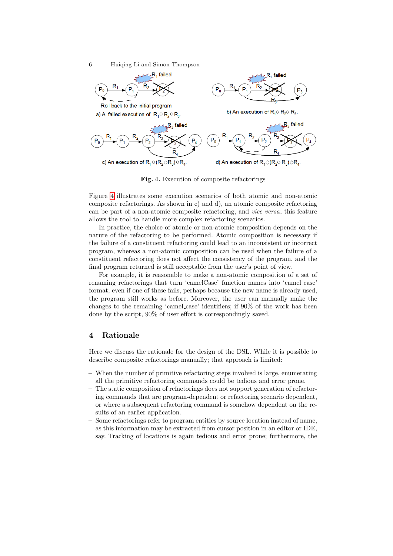

Fig. 4. Execution of composite refactorings

Figure [4](#page-5-1) illustrates some execution scenarios of both atomic and non-atomic composite refactorings. As shown in c) and d), an atomic composite refactoring can be part of a non-atomic composite refactoring, and vice versa; this feature allows the tool to handle more complex refactoring scenarios.

In practice, the choice of atomic or non-atomic composition depends on the nature of the refactoring to be performed. Atomic composition is necessary if the failure of a constituent refactoring could lead to an inconsistent or incorrect program, whereas a non-atomic composition can be used when the failure of a constituent refactoring does not affect the consistency of the program, and the final program returned is still acceptable from the user's point of view.

For example, it is reasonable to make a non-atomic composition of a set of renaming refactorings that turn 'camelCase' function names into 'camel case' format; even if one of these fails, perhaps because the new name is already used, the program still works as before. Moreover, the user can manually make the changes to the remaining 'camel case' identifiers; if 90% of the work has been done by the script, 90% of user effort is correspondingly saved.

# 4 Rationale

Here we discuss the rationale for the design of the DSL. While it is possible to describe composite refactorings manually; that approach is limited:

- When the number of primitive refactoring steps involved is large, enumerating all the primitive refactoring commands could be tedious and error prone.
- The static composition of refactorings does not support generation of refactoring commands that are program-dependent or refactoring scenario dependent, or where a subsequent refactoring command is somehow dependent on the results of an earlier application.
- <span id="page-6-0"></span>– Some refactorings refer to program entities by source location instead of name, as this information may be extracted from cursor position in an editor or IDE, say. Tracking of locations is again tedious and error prone; furthermore, the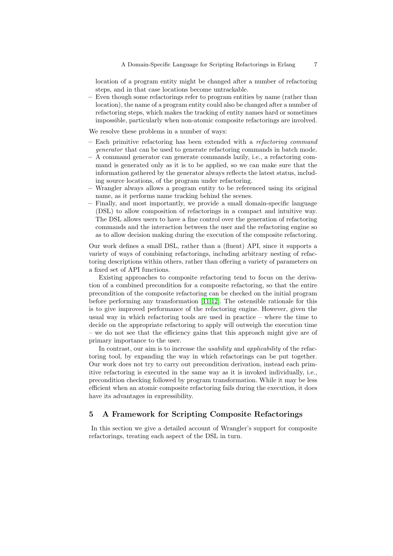<span id="page-7-0"></span>location of a program entity might be changed after a number of refactoring steps, and in that case locations become untrackable.

– Even though some refactorings refer to program entities by name (rather than location), the name of a program entity could also be changed after a number of refactoring steps, which makes the tracking of entity names hard or sometimes impossible, particularly when non-atomic composite refactorings are involved.

We resolve these problems in a number of ways:

- $-$  Each primitive refactoring has been extended with a *refactoring command* generator that can be used to generate refactoring commands in batch mode.
- A command generator can generate commands lazily, i.e., a refactoring command is generated only as it is to be applied, so we can make sure that the information gathered by the generator always reflects the latest status, including source locations, of the program under refactoring.
- Wrangler always allows a program entity to be referenced using its original name, as it performs name tracking behind the scenes.
- Finally, and most importantly, we provide a small domain-specific language (DSL) to allow composition of refactorings in a compact and intuitive way. The DSL allows users to have a fine control over the generation of refactoring commands and the interaction between the user and the refactoring engine so as to allow decision making during the execution of the composite refactoring.

Our work defines a small DSL, rather than a (fluent) API, since it supports a variety of ways of combining refactorings, including arbitrary nesting of refactoring descriptions within others, rather than offering a variety of parameters on a fixed set of API functions.

Existing approaches to composite refactoring tend to focus on the derivation of a combined precondition for a composite refactoring, so that the entire precondition of the composite refactoring can be checked on the initial program before performing any transformation [\[11](#page-14-11)[,12\]](#page-14-12). The ostensible rationale for this is to give improved performance of the refactoring engine. However, given the usual way in which refactoring tools are used in practice – where the time to decide on the appropriate refactoring to apply will outweigh the execution time – we do not see that the efficiency gains that this approach might give are of primary importance to the user.

In contrast, our aim is to increase the usability and applicability of the refactoring tool, by expanding the way in which refactorings can be put together. Our work does not try to carry out precondition derivation, instead each primitive refactoring is executed in the same way as it is invoked individually, i.e., precondition checking followed by program transformation. While it may be less efficient when an atomic composite refactoring fails during the execution, it does have its advantages in expressibility.

## 5 A Framework for Scripting Composite Refactorings

In this section we give a detailed account of Wrangler's support for composite refactorings, treating each aspect of the DSL in turn.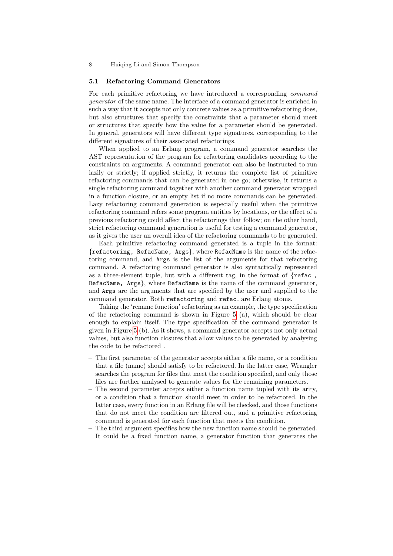#### 8 Huiqing Li and Simon Thompson

#### 5.1 Refactoring Command Generators

For each primitive refactoring we have introduced a corresponding command generator of the same name. The interface of a command generator is enriched in such a way that it accepts not only concrete values as a primitive refactoring does, but also structures that specify the constraints that a parameter should meet or structures that specify how the value for a parameter should be generated. In general, generators will have different type signatures, corresponding to the different signatures of their associated refactorings.

When applied to an Erlang program, a command generator searches the AST representation of the program for refactoring candidates according to the constraints on arguments. A command generator can also be instructed to run lazily or strictly; if applied strictly, it returns the complete list of primitive refactoring commands that can be generated in one go; otherwise, it returns a single refactoring command together with another command generator wrapped in a function closure, or an empty list if no more commands can be generated. Lazy refactoring command generation is especially useful when the primitive refactoring command refers some program entities by locations, or the effect of a previous refactoring could affect the refactorings that follow; on the other hand, strict refactoring command generation is useful for testing a command generator, as it gives the user an overall idea of the refactoring commands to be generated.

<span id="page-8-0"></span>Each primitive refactoring command generated is a tuple in the format: { $refactoring, RefacName, Args$ }, where RefacName is the name of the refactoring command, and Args is the list of the arguments for that refactoring command. A refactoring command generator is also syntactically represented as a three-element tuple, but with a different tag, in the format of  $\{refac_-,$ RefacName, Args}, where RefacName is the name of the command generator, and Args are the arguments that are specified by the user and supplied to the command generator. Both refactoring and refac<sub>r</sub> are Erlang atoms.

Taking the 'rename function' refactoring as an example, the type specification of the refactoring command is shown in Figure [5](#page-8-0) (a), which should be clear enough to explain itself. The type specification of the command generator is given in Figure [5](#page-8-0) (b). As it shows, a command generator accepts not only actual values, but also function closures that allow values to be generated by analysing the code to be refactored .

- The first parameter of the generator accepts either a file name, or a condition that a file (name) should satisfy to be refactored. In the latter case, Wrangler searches the program for files that meet the condition specified, and only those files are further analysed to generate values for the remaining parameters.
- The second parameter accepts either a function name tupled with its arity, or a condition that a function should meet in order to be refactored. In the latter case, every function in an Erlang file will be checked, and those functions that do not meet the condition are filtered out, and a primitive refactoring command is generated for each function that meets the condition.
- The third argument specifies how the new function name should be generated. It could be a fixed function name, a generator function that generates the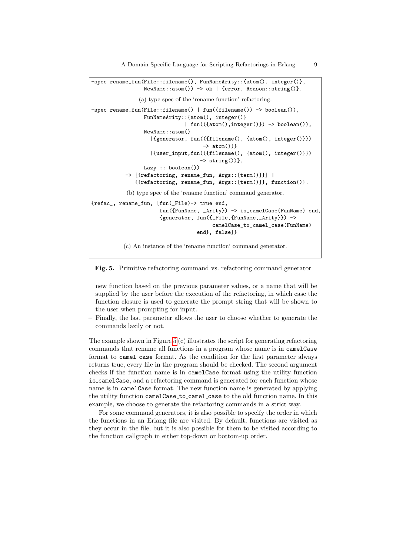A Domain-Specific Language for Scripting Refactorings in Erlang 9

```
-spec rename_fun(File::filename(), FunNameArity::{atom(), integer()},
                  NewName::atom() -> ok | {error, Reason::string()}.
                (a) type spec of the 'rename function' refactoring.
-spec rename_fun(File::filename() | fun((filename()) -> boolean()),
                 FunNameArity::{atom(), integer()}
                               | fun(({atom(),integer()}) -> boolean()),
                 NewName::atom()
                    |{generator, fun(({filename(), {atom(), integer()}})
                                      \rightarrow atom())}
                    |{user_input,fun(({filename(), {atom(), integer()}})
                                     \rightarrow string())},
                 Lazy :: boolean())
           -> [{refactoring, rename_fun, Args::[term()]}] |
              {{refactoring, rename_fun, Args::[term()]}, function()}.
           (b) type spec of the 'rename function' command generator.
{refac_, rename_fun, [fun(_File)-> true end,
                       fun({FunName, _Arity}) -> is_camelCase(FunName) end,
                       {generator, fun({_File,{FunName,_Arity}}) ->
                                         camelCase_to_camel_case(FunName)
                                    end}, false]}
          (c) An instance of the 'rename function' command generator.
```
<span id="page-9-0"></span>Fig. 5. Primitive refactoring command vs. refactoring command generator

new function based on the previous parameter values, or a name that will be supplied by the user before the execution of the refactoring, in which case the function closure is used to generate the prompt string that will be shown to the user when prompting for input.

– Finally, the last parameter allows the user to choose whether to generate the commands lazily or not.

The example shown in Figure [5](#page-8-0) (c) illustrates the script for generating refactoring commands that rename all functions in a program whose name is in camelCase format to camel case format. As the condition for the first parameter always returns true, every file in the program should be checked. The second argument checks if the function name is in camelCase format using the utility function is camelCase, and a refactoring command is generated for each function whose name is in camelCase format. The new function name is generated by applying the utility function camelCase to camel case to the old function name. In this example, we choose to generate the refactoring commands in a strict way.

For some command generators, it is also possible to specify the order in which the functions in an Erlang file are visited. By default, functions are visited as they occur in the file, but it is also possible for them to be visited according to the function callgraph in either top-down or bottom-up order.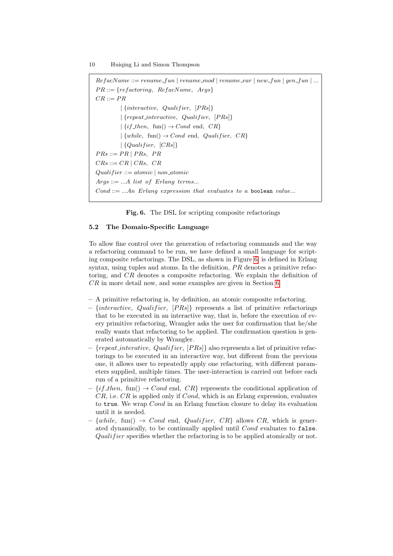$RefacName ::= rename\_fun \mid rename\_mod \mid rename\_var \mid new\_fun \mid gen\_fun \mid ...$  $PR ::= \{refactoring, RefacName, Args\}$  $CR ::= PR$  $\{\text{interactive}, \text{ Qualifier}, \text{ } [PRs]\}$  $\{f$ repeat\_interactive, Qualifier,  $[PRs]$  $| \{if\_then, \, \, \text{fun}() \rightarrow Cond \, \, \text{end}, \, \, CR \}$ |  $\{while, \text{ fun}() \rightarrow Cond \text{ end}, \text{ Qualifier}, \text{ CR}\}$  $\{$ Qualifier,  $[CRs]$  $PRs ::= PR | PRs, PR$  $CRs ::= CR \, | \, CRs, \, CR$  $Qualifier ::= atomic \mid non\_atomic$  $Args ::= ... A list of Erlang terms...$  $Cond ::= ... An Erlang expression that evaluates to a boolean value...$ 

Fig. 6. The DSL for scripting composite refactorings

### <span id="page-10-0"></span>5.2 The Domain-Specific Language

To allow fine control over the generation of refactoring commands and the way a refactoring command to be run, we have defined a small language for scripting composite refactorings. The DSL, as shown in Figure [6,](#page-9-0) is defined in Erlang syntax, using tuples and atoms. In the definition,  $PR$  denotes a primitive refactoring, and CR denotes a composite refactoring. We explain the definition of CR in more detail now, and some examples are given in Section [6.](#page-10-0)

- A primitive refactoring is, by definition, an atomic composite refactoring.
- $-$  {*interactive, Qualifier, [PRs]*} represents a list of primitive refactorings that to be executed in an interactive way, that is, before the execution of every primitive refactoring, Wrangler asks the user for confirmation that he/she really wants that refactoring to be applied. The confirmation question is generated automatically by Wrangler.
- $-$  {repeat interative, Qualifier,  $[PRs]$ } also represents a list of primitive refactorings to be executed in an interactive way, but different from the previous one, it allows user to repeatedly apply one refactoring, with different parameters supplied, multiple times. The user-interaction is carried out before each run of a primitive refactoring.
- $\{if\_then, \text{ fun}() \rightarrow Cond \text{ end}, \text{ CR}\}$  represents the conditional application of  $CR$ , i.e.  $CR$  is applied only if  $Cond$ , which is an Erlang expression, evaluates to true. We wrap Cond in an Erlang function closure to delay its evaluation until it is needed.
- $-$  {while, fun()  $\rightarrow$  Cond end, Qualifier, CR} allows CR, which is generated dynamically, to be continually applied until Cond evaluates to false.  $Qualifier$  specifies whether the refactoring is to be applied atomically or not.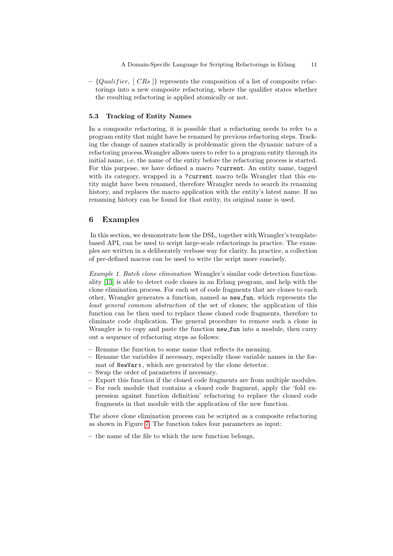$-$  {*Qualifier*,  $[CRs]$ } represents the composition of a list of composite refactorings into a new composite refactoring, where the qualifier states whether the resulting refactoring is applied atomically or not.

#### 5.3 Tracking of Entity Names

In a composite refactoring, it is possible that a refactoring needs to refer to a program entity that might have be renamed by previous refactoring steps. Tracking the change of names statically is problematic given the dynamic nature of a refactoring process.Wrangler allows users to refer to a program entity through its initial name, i.e. the name of the entity before the refactoring process is started. For this purpose, we have defined a macro ?current. An entity name, tagged with its category, wrapped in a ?current macro tells Wrangler that this entity might have been renamed, therefore Wrangler needs to search its renaming history, and replaces the macro application with the entity's latest name. If no renaming history can be found for that entity, its original name is used.

### 6 Examples

In this section, we demonstrate how the DSL, together with Wrangler's templatebased API, can be used to script large-scale refactorings in practice. The examples are written in a deliberately verbose way for clarity. In practice, a collection of pre-defined macros can be used to write the script more concisely.

<span id="page-11-0"></span>Example 1. Batch clone elimination Wrangler's similar code detection functionality [\[13\]](#page-14-13) is able to detect code clones in an Erlang program, and help with the clone elimination process. For each set of code fragments that are clones to each other, Wrangler generates a function, named as new fun, which represents the least general common abstraction of the set of clones; the application of this function can be then used to replace those cloned code fragments, therefore to eliminate code duplication. The general procedure to remove such a clone in Wrangler is to copy and paste the function new fun into a module, then carry out a sequence of refactoring steps as follows:

- Rename the function to some name that reflects its meaning.
- Rename the variables if necessary, especially those variable names in the format of  $\texttt{NewVar} \textbf{\textit{i}}$ , which are generated by the clone detector.
- Swap the order of parameters if necessary.
- Export this function if the cloned code fragments are from multiple modules.
- For each module that contains a cloned code fragment, apply the 'fold expression against function definition' refactoring to replace the cloned code fragments in that module with the application of the new function.

The above clone elimination process can be scripted as a composite refactoring as shown in Figure [7.](#page-11-0) The function takes four parameters as input:

– the name of the file to which the new function belongs,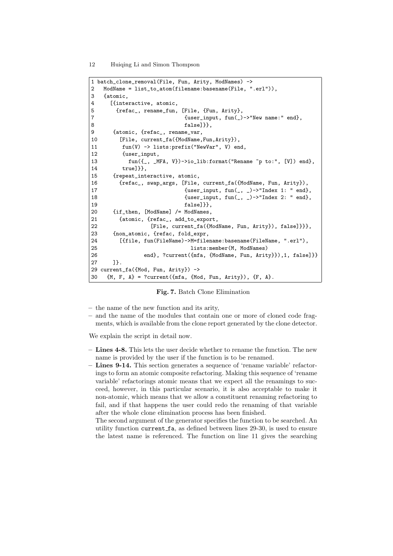```
1 batch_clone_removal(File, Fun, Arity, ModNames) ->
2 ModName = list_to_atom(filename:basename(File, ".erl")),
3 {atomic,
4 [{interactive, atomic,
5 {refac_, rename_fun, [File, {Fun, Arity},
7 {user_input, fun(_)->"New name:" end},
8 falsel}},
9 {atomic, {refac_, rename_var,
10 [File, current_fa({ModName,Fun,Arity}),
11 fun(V) -> lists: prefix("NewVar", V) end,
12 {user_input,
13 fun({_, _MFA, V})->io_lib:format("Rename ~p to:", [V]) end},
14 true]}},
15 {repeat_interactive, atomic,
16 {refac_, swap_args, [File, current_fa({ModName, Fun, Arity}),
17 {user_input, fun(_, _)->"Index 1: " end},
18 {user\_input, fun(_, _{\_}, \_}) \rightarrow "Index 2: " end},19 false]}},
20 {if_then, [ModName] /= ModNames,
21 {atomic, {refac_, add_to_export,
22 [File, current_fa({ModName, Fun, Arity}), false]}}},
23 {non_atomic, {refac, fold_expr,
24 [{file, fun(FileName)->M=filename:basename(FileName, ".erl"),
25 lists:member(M, ModNames)
26 end}, ?current({mfa, {ModName, Fun, Arity}}),1, false]}}
27 ]}.
29 current_fa({Mod, Fun, Arity}) ->
30 {M, F, A} = ?current({mfa, {Mod, Fun, Arity}), {F, A}.
```
Fig. 7. Batch Clone Elimination

- the name of the new function and its arity,
- and the name of the modules that contain one or more of cloned code fragments, which is available from the clone report generated by the clone detector.

<span id="page-12-0"></span>We explain the script in detail now.

- Lines 4-8. This lets the user decide whether to rename the function. The new name is provided by the user if the function is to be renamed.
- Lines 9-14. This section generates a sequence of 'rename variable' refactorings to form an atomic composite refactoring. Making this sequence of 'rename variable' refactorings atomic means that we expect all the renamings to succeed, however, in this particular scenario, it is also acceptable to make it non-atomic, which means that we allow a constituent renaming refactoring to fail, and if that happens the user could redo the renaming of that variable after the whole clone elimination process has been finished.

The second argument of the generator specifies the function to be searched. An utility function current fa, as defined between lines 29-30, is used to ensure the latest name is referenced. The function on line 11 gives the searching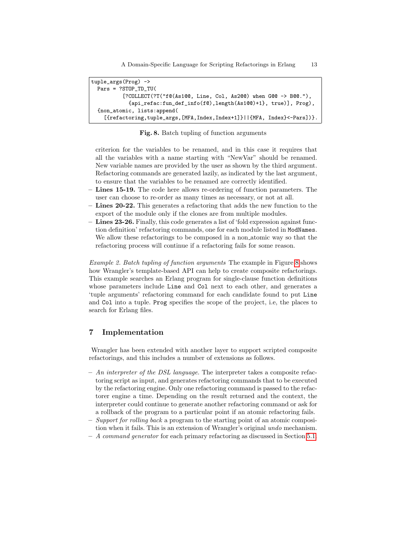A Domain-Specific Language for Scripting Refactorings in Erlang 13

```
tuple_args(Prog) ->
 Pars = ?STOP_TD_TU(
          [?COLLECT(?T("f@(As1@@, Line, Col, As2@@) when G@@ -> B@@."),
            {api_refac:fun_def_info(f@),length(As1@@)+1}, true)], Prog),
 {non_atomic, lists:append(
    [{refactoring,tuple_args,[MFA,Index,Index+1]}||{MFA, Index}<-Pars])}.
```
#### Fig. 8. Batch tupling of function arguments

criterion for the variables to be renamed, and in this case it requires that all the variables with a name starting with "NewVar" should be renamed. New variable names are provided by the user as shown by the third argument. Refactoring commands are generated lazily, as indicated by the last argument, to ensure that the variables to be renamed are correctly identified.

- Lines 15-19. The code here allows re-ordering of function parameters. The user can choose to re-order as many times as necessary, or not at all.
- Lines 20-22. This generates a refactoring that adds the new function to the export of the module only if the clones are from multiple modules.
- <span id="page-13-0"></span> $-$  Lines 23-26. Finally, this code generates a list of 'fold expression against function definition' refactoring commands, one for each module listed in ModNames. We allow these refactorings to be composed in a non-atomic way so that the refactoring process will continue if a refactoring fails for some reason.

Example 2. Batch tupling of function arguments The example in Figure [8](#page-12-1) shows how Wrangler's template-based API can help to create composite refactorings. This example searches an Erlang program for single-clause function definitions whose parameters include Line and Col next to each other, and generates a 'tuple arguments' refactoring command for each candidate found to put Line and Col into a tuple. Prog specifies the scope of the project, i.e, the places to search for Erlang files.

## 7 Implementation

Wrangler has been extended with another layer to support scripted composite refactorings, and this includes a number of extensions as follows.

- $An$  interpreter of the DSL language. The interpreter takes a composite refactoring script as input, and generates refactoring commands that to be executed by the refactoring engine. Only one refactoring command is passed to the refactorer engine a time. Depending on the result returned and the context, the interpreter could continue to generate another refactoring command or ask for a rollback of the program to a particular point if an atomic refactoring fails.
- Support for rolling back a program to the starting point of an atomic composition when it fails. This is an extension of Wrangler's original undo mechanism.
- A command generator for each primary refactoring as discussed in Section [5.1.](#page-7-0)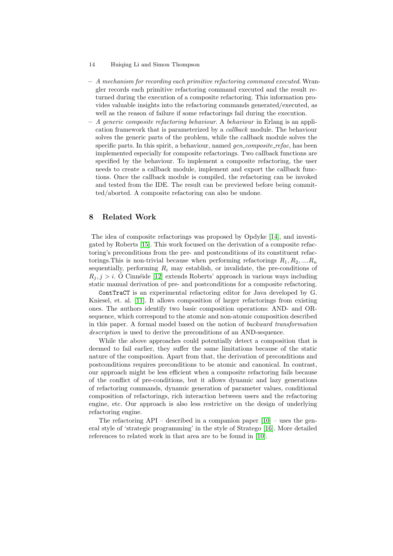- 14 Huiqing Li and Simon Thompson
- <span id="page-14-9"></span>– A mechanism for recording each primitive refactoring command executed. Wrangler records each primitive refactoring command executed and the result returned during the execution of a composite refactoring. This information provides valuable insights into the refactoring commands generated/executed, as well as the reason of failure if some refactorings fail during the execution.
- $-$  A generic composite refactoring behaviour. A behaviour in Erlang is an application framework that is parameterized by a callback module. The behaviour solves the generic parts of the problem, while the callback module solves the specific parts. In this spirit, a behaviour, named  $gen\_composite\_refac$ , has been implemented especially for composite refactorings. Two callback functions are specified by the behaviour. To implement a composite refactoring, the user needs to create a callback module, implement and export the callback functions. Once the callback module is compiled, the refactoring can be invoked and tested from the IDE. The result can be previewed before being committed/aborted. A composite refactoring can also be undone.

# 8 Related Work

<span id="page-14-3"></span><span id="page-14-2"></span><span id="page-14-1"></span><span id="page-14-0"></span>The idea of composite refactorings was proposed by Opdyke [\[14\]](#page-14-14), and investigated by Roberts [\[15\]](#page-14-15). This work focused on the derivation of a composite refactoring's preconditions from the pre- and postconditions of its constituent refactorings. This is non-trivial because when performing refactorings  $R_1, R_2, \ldots, R_n$ sequentially, performing  $R_i$  may establish, or invalidate, the pre-conditions of  $R_i, j > i$ . Ó Cinnéide [\[12\]](#page-14-12) extends Roberts' approach in various ways including static manual derivation of pre- and postconditions for a composite refactoring.

<span id="page-14-7"></span><span id="page-14-6"></span><span id="page-14-5"></span><span id="page-14-4"></span>ContTraCT is an experimental refactoring editor for Java developed by G. Kniesel, et. al. [\[11\]](#page-14-11). It allows composition of larger refactorings from existing ones. The authors identify two basic composition operations: AND- and ORsequence, which correspond to the atomic and non-atomic composition described in this paper. A formal model based on the notion of backward transformation description is used to derive the preconditions of an AND-sequence.

<span id="page-14-12"></span><span id="page-14-11"></span><span id="page-14-10"></span><span id="page-14-8"></span>While the above approaches could potentially detect a composition that is deemed to fail earlier, they suffer the same limitations because of the static nature of the composition. Apart from that, the derivation of preconditions and postconditions requires preconditions to be atomic and canonical. In contrast, our approach might be less efficient when a composite refactoring fails because of the conflict of pre-conditions, but it allows dynamic and lazy generations of refactoring commands, dynamic generation of parameter values, conditional composition of refactorings, rich interaction between users and the refactoring engine, etc. Our approach is also less restrictive on the design of underlying refactoring engine.

<span id="page-14-16"></span><span id="page-14-15"></span><span id="page-14-14"></span><span id="page-14-13"></span>The refactoring  $API - described$  in a companion paper  $[10]$  – uses the general style of 'strategic programming' in the style of Stratego [\[16\]](#page-14-16). More detailed references to related work in that area are to be found in [\[10\]](#page-14-10).